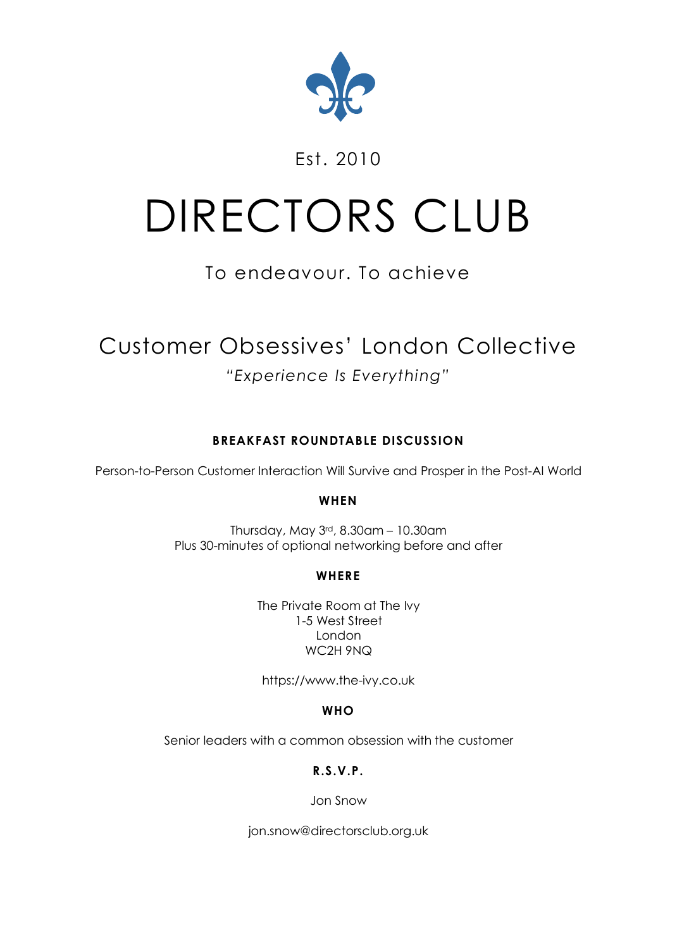

### Est. 2010

# DIRECTORS CLUB

# To endeavour. To achieve

# Customer Obsessives' London Collective

## *"Experience Is Everything"*

#### **BREAKFAST ROUNDTABLE DISCUSSION**

Person-to-Person Customer Interaction Will Survive and Prosper in the Post-AI World

#### **WHEN**

Thursday, May 3rd, 8.30am – 10.30am Plus 30-minutes of optional networking before and after

#### **WHERE**

The Private Room at The Ivy 1-5 West Street London WC2H 9NQ

https://www.the-ivy.co.uk

#### **WHO**

Senior leaders with a common obsession with the customer

**R.S.V.P.**

Jon Snow

jon.snow@directorsclub.org.uk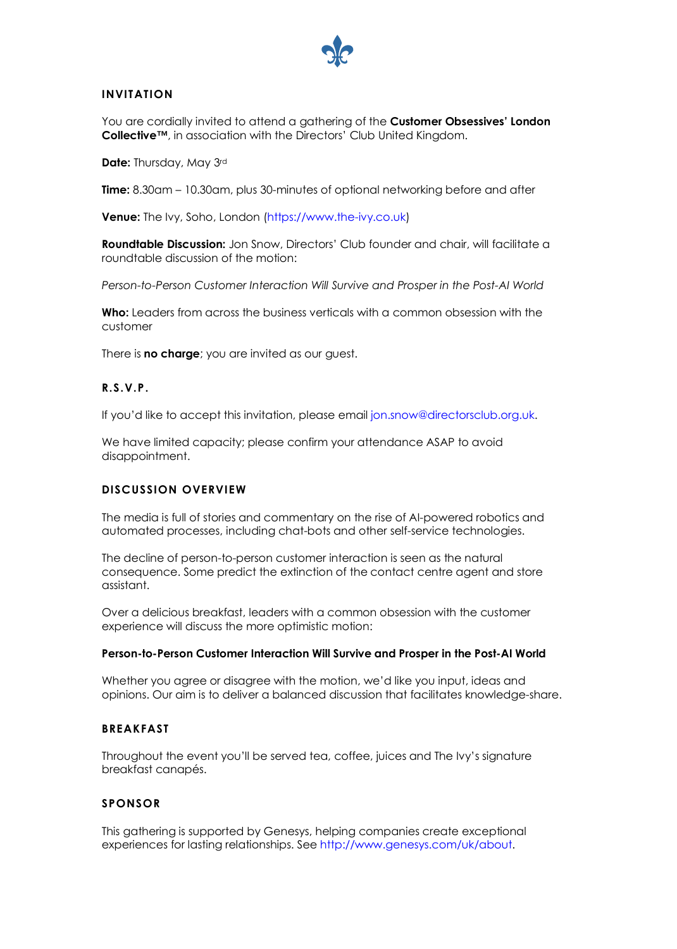

#### **INVITATION**

You are cordially invited to attend a gathering of the **Customer Obsessives' London Collective™**, in association with the Directors' Club United Kingdom.

**Date:** Thursday, May 3rd

**Time:** 8.30am – 10.30am, plus 30-minutes of optional networking before and after

**Venue:** The Ivy, Soho, London (https://www.the-ivy.co.uk)

**Roundtable Discussion:** Jon Snow, Directors' Club founder and chair, will facilitate a roundtable discussion of the motion:

*Person-to-Person Customer Interaction Will Survive and Prosper in the Post-AI World*

**Who:** Leaders from across the business verticals with a common obsession with the customer

There is **no charge**; you are invited as our guest.

#### **R.S.V.P.**

If you'd like to accept this invitation, please email jon.snow@directorsclub.org.uk.

We have limited capacity; please confirm your attendance ASAP to avoid disappointment.

#### **DISCUSSION OVERVIEW**

The media is full of stories and commentary on the rise of AI-powered robotics and automated processes, including chat-bots and other self-service technologies.

The decline of person-to-person customer interaction is seen as the natural consequence. Some predict the extinction of the contact centre agent and store assistant.

Over a delicious breakfast, leaders with a common obsession with the customer experience will discuss the more optimistic motion:

#### **Person-to-Person Customer Interaction Will Survive and Prosper in the Post-AI World**

Whether you agree or disagree with the motion, we'd like you input, ideas and opinions. Our aim is to deliver a balanced discussion that facilitates knowledge-share.

#### **BREAKFAST**

Throughout the event you'll be served tea, coffee, juices and The Ivy's signature breakfast canapés.

#### **SPONSOR**

This gathering is supported by Genesys, helping companies create exceptional experiences for lasting relationships. See http://www.genesys.com/uk/about.